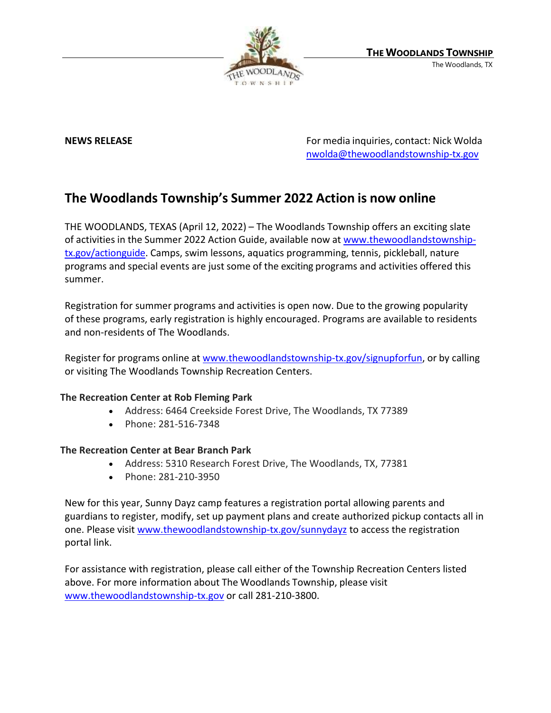

**NEWS RELEASE For media inquiries, contact: Nick Wolda For media inquiries, contact: Nick Wolda** [nwolda@thewoodlandstownship-tx.gov](mailto:nwolda@thewoodlandstownship-tx.gov)

## **The Woodlands Township's Summer 2022 Action is now online**

THE WOODLANDS, TEXAS (April 12, 2022) – The Woodlands Township offers an exciting slate of activities in the Summer 2022 Action Guide, available now at [www.thewoodlandstownship](http://www.thewoodlandstownship-tx.gov/actionguide)[tx.gov/actionguide.](http://www.thewoodlandstownship-tx.gov/actionguide) Camps, swim lessons, aquatics programming, tennis, pickleball, nature programs and special events are just some of the exciting programs and activities offered this summer.

Registration for summer programs and activities is open now. Due to the growing popularity of these programs, early registration is highly encouraged. Programs are available to residents and non-residents of The Woodlands.

Register for programs online at [www.thewoodlandstownship-tx.gov/signupforfun,](http://www.thewoodlandstownship-tx.gov/signupforfun) or by calling or visiting The Woodlands Township Recreation Centers.

## **The Recreation Center at Rob Fleming Park**

- Address: 6464 Creekside Forest Drive, The Woodlands, TX 77389
- Phone: 281-516-7348

## **The Recreation Center at Bear Branch Park**

- Address: 5310 Research Forest Drive, The Woodlands, TX, 77381
- Phone: 281-210-3950

New for this year, Sunny Dayz camp features a registration portal allowing parents and guardians to register, modify, set up payment plans and create authorized pickup contacts all in one. Please visit [www.thewoodlandstownship-tx.gov/sunnydayz](http://www.thewoodlandstownship-tx.gov/sunnydayz) to access the registration portal link.

For assistance with registration, please call either of the Township Recreation Centers listed above. For more information about The Woodlands Township, please visit [www.thewoodlandstownship-tx.gov](http://www.thewoodlandstownship-tx.gov/) or call 281-210-3800.